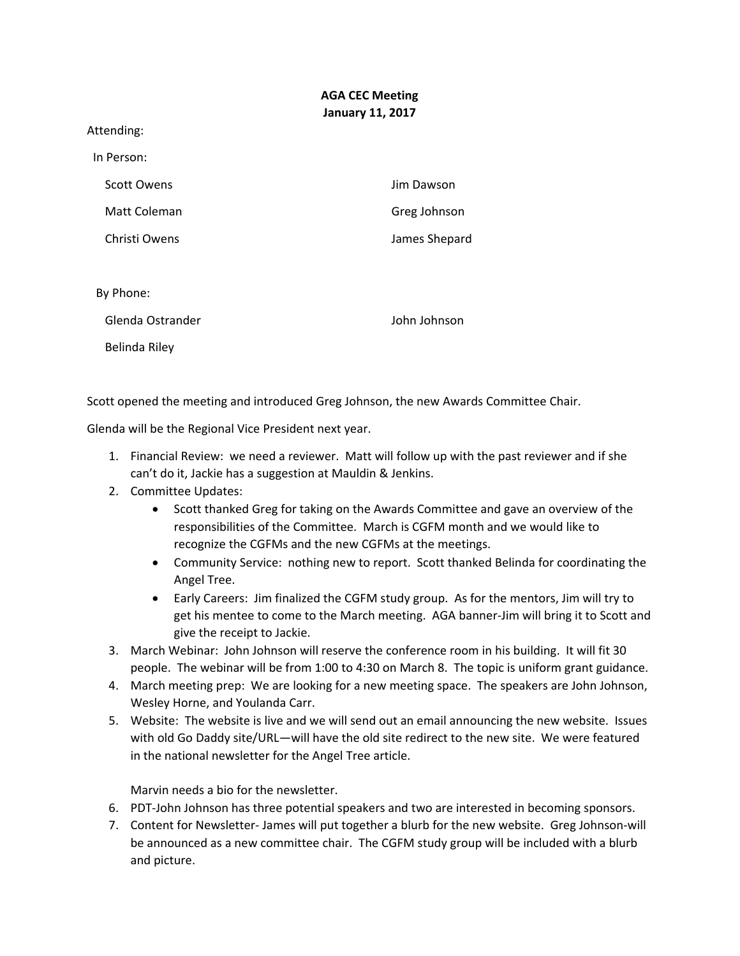## **AGA CEC Meeting January 11, 2017**

Attending:

| In Person:         |               |
|--------------------|---------------|
| <b>Scott Owens</b> | Jim Dawson    |
| Matt Coleman       | Greg Johnson  |
| Christi Owens      | James Shepard |
|                    |               |
| By Phone:          |               |
| Glenda Ostrander   | John Johnson  |
| Belinda Rilev      |               |

Scott opened the meeting and introduced Greg Johnson, the new Awards Committee Chair.

Glenda will be the Regional Vice President next year.

- 1. Financial Review: we need a reviewer. Matt will follow up with the past reviewer and if she can't do it, Jackie has a suggestion at Mauldin & Jenkins.
- 2. Committee Updates:
	- Scott thanked Greg for taking on the Awards Committee and gave an overview of the responsibilities of the Committee. March is CGFM month and we would like to recognize the CGFMs and the new CGFMs at the meetings.
	- Community Service: nothing new to report. Scott thanked Belinda for coordinating the Angel Tree.
	- Early Careers: Jim finalized the CGFM study group. As for the mentors, Jim will try to get his mentee to come to the March meeting. AGA banner‐Jim will bring it to Scott and give the receipt to Jackie.
- 3. March Webinar: John Johnson will reserve the conference room in his building. It will fit 30 people. The webinar will be from 1:00 to 4:30 on March 8. The topic is uniform grant guidance.
- 4. March meeting prep: We are looking for a new meeting space. The speakers are John Johnson, Wesley Horne, and Youlanda Carr.
- 5. Website: The website is live and we will send out an email announcing the new website. Issues with old Go Daddy site/URL—will have the old site redirect to the new site. We were featured in the national newsletter for the Angel Tree article.

Marvin needs a bio for the newsletter.

- 6. PDT‐John Johnson has three potential speakers and two are interested in becoming sponsors.
- 7. Content for Newsletter‐ James will put together a blurb for the new website. Greg Johnson‐will be announced as a new committee chair. The CGFM study group will be included with a blurb and picture.